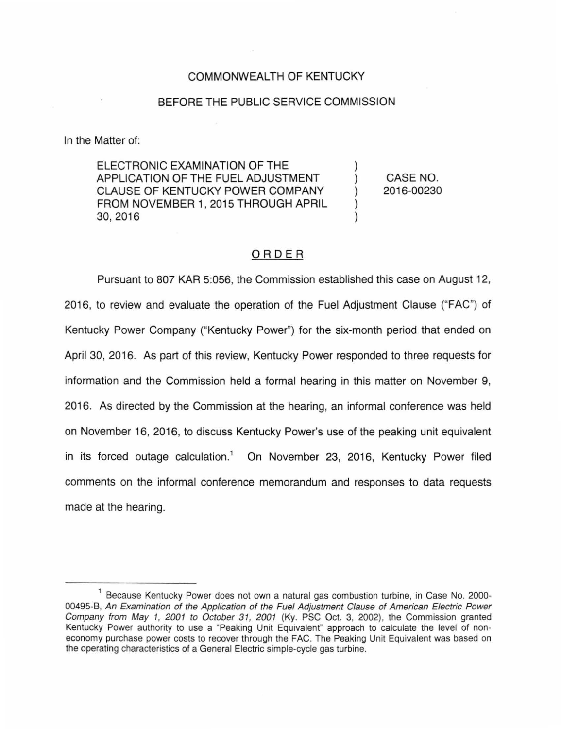## COMMONWEALTH OF KENTUCKY

#### BEFORE THE PUBLIC SERVICE COMMISSION

In the Matter of:

ELECTRONIC EXAMINATION OF THE APPLICATION OF THE FUEL ADJUSTMENT CLAUSE OF KENTUCKY POWER COMPANY FROM NOVEMBER 1, 2015 THROUGH APRIL 30, 2016

CASE NO. 2016-00230

) ) ) ) )

## ORDER

Pursuant to 807 KAR 5:056, the Commission established this case on August 12, 2016, to review and evaluate the operation of the Fuel Adjustment Clause ("FAC") of Kentucky Power Company ("Kentucky Power") for the six-month period that ended on April 30, 2016. As part of this review, Kentucky Power responded to three requests for information and the Commission held a formal hearing in this matter on November 9, 2016. As directed by the Commission at the hearing, an informal conference was held on November 16, 2016, to discuss Kentucky Power's use of the peaking unit equivalent in its forced outage calculation.<sup>1</sup> On November 23, 2016, Kentucky Power filed comments on the informal conference memorandum and responses to data requests made at the hearing.

<sup>&</sup>lt;sup>1</sup> Because Kentucky Power does not own a natural gas combustion turbine, in Case No. 2000-00495-B, An Examination of the Application of the Fuel Adjustment Clause of American Electric Power Company from May 1, 2001 to October 31, 2001 (Ky. PSC Oct. 3, 2002), the Commission granted Kentucky Power authority to use a "Peaking Unit Equivalent" approach to calculate the level of noneconomy purchase power costs to recover through the FAC. The Peaking Unit Equivalent was based on the operating characteristics of a General Electric simple-cycle gas turbine.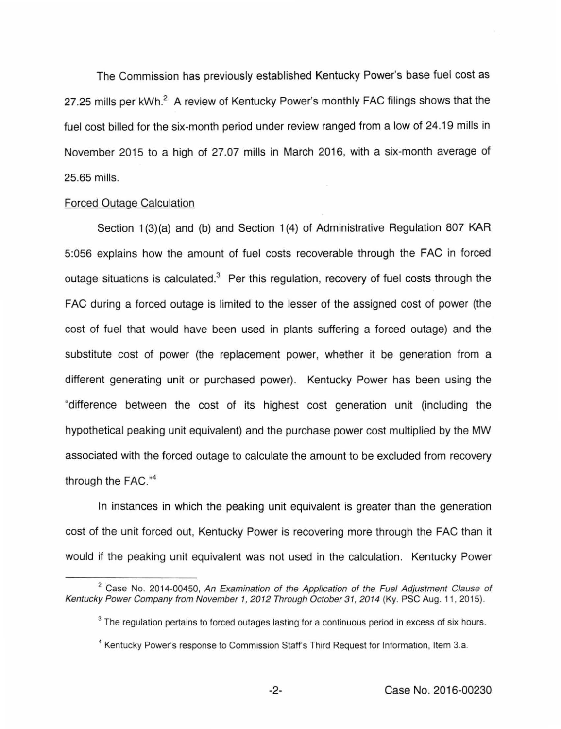The Commission has previously established Kentucky Power's base fuel cost as 27.25 mills per kWh.<sup>2</sup> A review of Kentucky Power's monthly FAC filings shows that the fuel cost billed for the six-month period under review ranged from a low of 24.19 mills in November 2015 to a high of 27.07 mills in March 2016, with a six-month average of 25.65 mills.

## Forced Outage Calculation

Section 1(3)(a) and (b) and Section 1(4) of Administrative Regulation 807 KAR 5:056 explains how the amount of fuel costs recoverable through the FAC in forced outage situations is calculated.<sup>3</sup> Per this regulation, recovery of fuel costs through the FAC during a forced outage is limited to the lesser of the assigned cost of power (the cost of fuel that would have been used in plants suffering a forced outage) and the substitute cost of power (the replacement power, whether it be generation from a different generating unit or purchased power). Kentucky Power has been using the "difference between the cost of its highest cost generation unit (including the hypothetical peaking unit equivalent) and the purchase power cost multiplied by the MW associated with the forced outage to calculate the amount to be excluded from recovery through the FAC."<sup>4</sup>

In instances in which the peaking unit equivalent is greater than the generation cost of the unit forced out, Kentucky Power is recovering more through the FAC than it would if the peaking unit equivalent was not used in the calculation. Kentucky Power

<sup>&</sup>lt;sup>2</sup> Case No. 2014-00450, An Examination of the Application of the Fuel Adjustment Clause of Kentucky Power Company from November 1, 2012 Through October 31, 2014 (Ky. PSC Aug. 11, 2015).

<sup>&</sup>lt;sup>3</sup> The regulation pertains to forced outages lasting for a continuous period in excess of six hours.

<sup>&</sup>lt;sup>4</sup> Kentucky Power's response to Commission Staff's Third Request for Information, Item 3.a.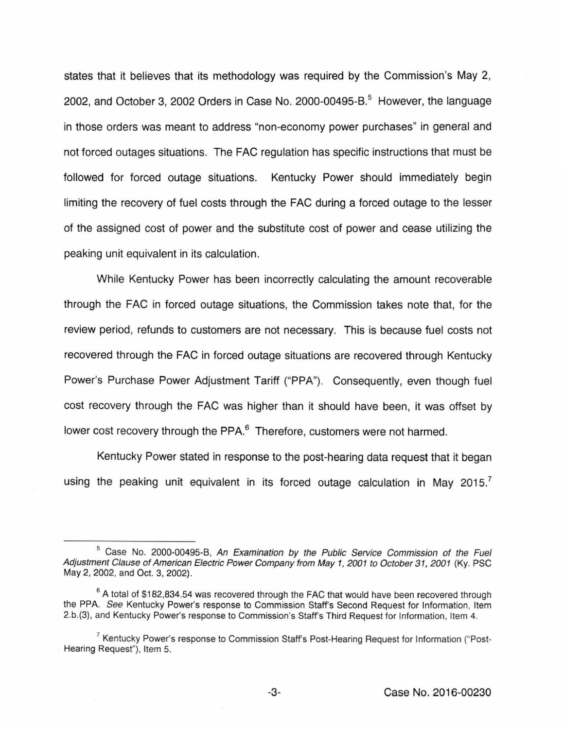states that it believes that its methodology was required by the Commission's May 2, 2002, and October 3, 2002 Orders in Case No. 2000-00495-B.<sup>5</sup> However, the language in those orders was meant to address "non-economy power purchases" in general and not forced outages situations. The FAC regulation has specific instructions that must be followed for forced outage situations. Kentucky Power should immediately begin limiting the recovery of fuel costs through the FAC during a forced outage to the lesser of the assigned cost of power and the substitute cost of power and cease utilizing the peaking unit equivalent in its calculation.

While Kentucky Power has been incorrectly calculating the amount recoverable through the FAC in forced outage situations, the Commission takes note that, for the review period, refunds to customers are not necessary. This is because fuel costs not recovered through the FAC in forced outage situations are recovered through Kentucky Power's Purchase Power Adjustment Tariff ("PPA"). Consequently, even though fuel cost recovery through the FAC was higher than it should have been, it was offset by lower cost recovery through the PPA.<sup>6</sup> Therefore, customers were not harmed.

Kentucky Power stated in response to the post-hearing data request that it began using the peaking unit equivalent in its forced outage calculation in May 2015.

<sup>&</sup>lt;sup>5</sup> Case No. 2000-00495-B, An Examination by the Public Service Commission of the Fuel Adjustment Clause of American Electric Power Company from May 1, 2001 to October 31, 2001 (Ky. PSG May 2, 2002, and Oct. 3, 2002).

<sup>&</sup>lt;sup>6</sup> A total of \$182,834.54 was recovered through the FAC that would have been recovered through the PPA. See Kentucky Power's response to Commission Staff's Second Request for Information, Item 2.b.(3), and Kentucky Power's response to Commission's Staffs Third Request for Information, Item 4.

<sup>&</sup>lt;sup>7</sup> Kentucky Power's response to Commission Staff's Post-Hearing Request for Information ("Post-Hearing Request"), Item 5.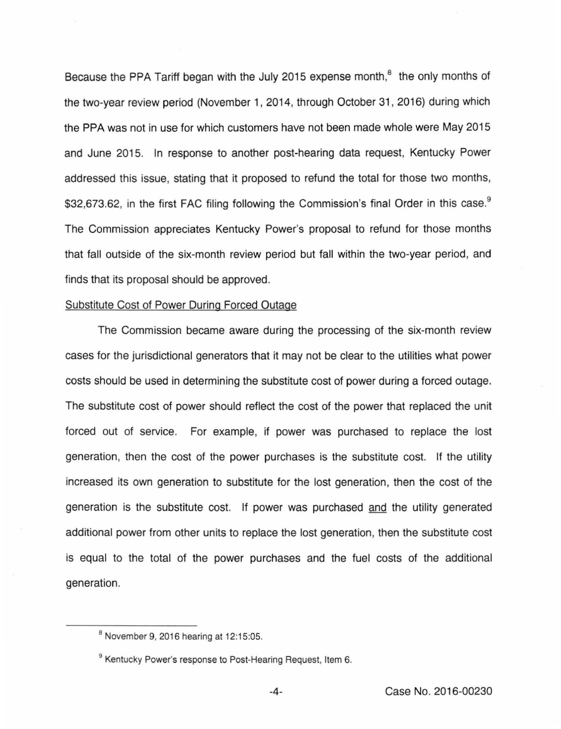Because the PPA Tariff began with the July 2015 expense month,<sup>8</sup> the only months of the two-year review period (November 1, 2014, through October 31, 2016} during which the PPA was not in use for which customers have not been made whole were May 2015 and June 2015. In response to another post-hearing data request, Kentucky Power addressed this issue, stating that it proposed to refund the total for those two months, \$32,673.62, in the first FAC filing following the Commission's final Order in this case.<sup>9</sup> The Commission appreciates Kentucky Power's proposal to refund for those months that fall outside of the six-month review period but fall within the two-year period, and finds that its proposal should be approved.

#### Substitute Cost of Power During Forced Outage

The Commission became aware during the processing of the six-month review cases for the jurisdictional generators that it may not be clear to the utilities what power costs should be used in determining the substitute cost of power during a forced outage. The substitute cost of power should reflect the cost of the power that replaced the unit forced out of service. For example, if power was purchased to replace the lost generation, then the cost of the power purchases is the substitute cost. If the utility increased its own generation to substitute for the lost generation, then the cost of the generation is the substitute cost. If power was purchased and the utility generated additional power from other units to replace the lost generation, then the substitute cost is equal to the total of the power purchases and the fuel costs of the additional generation.

 $8$  November 9, 2016 hearing at 12:15:05.

<sup>&</sup>lt;sup>9</sup> Kentucky Power's response to Post-Hearing Request, Item 6.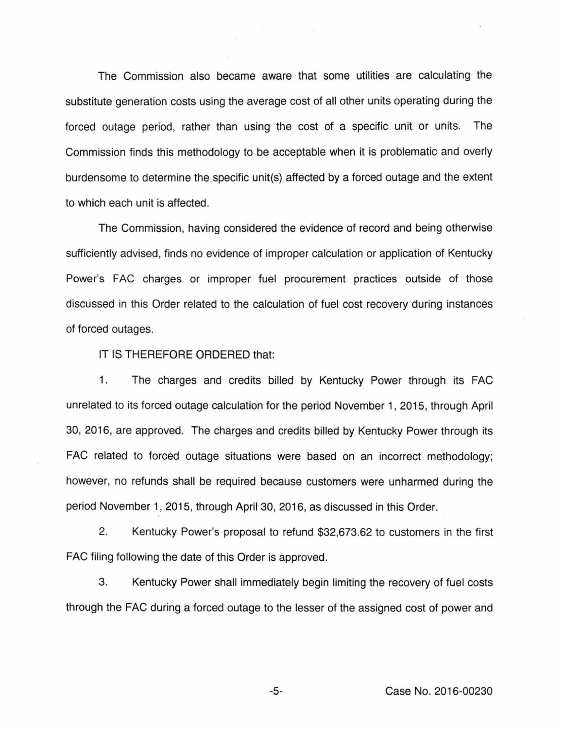The Commission also became aware that some utilities are calculating the substitute generation costs using the average cost of all other units operating during the forced outage period, rather than using the cost of a specific unit or units. The Commission finds this methodology to be acceptable when it is problematic and overly burdensome to determine the specific unit(s) affected by a forced outage and the extent to which each unit is affected.

The Commission, having considered the evidence of record and being otherwise sufficiently advised, finds no evidence of improper calculation or application of Kentucky Power's FAC charges or improper fuel procurement practices outside of those discussed in this Order related to the calculation of fuel cost recovery during instances of forced outages.

# IT IS THEREFORE ORDERED that:

1. The charges and credits billed by Kentucky Power through its FAG unrelated to its forced outage calculation for the period November 1, 2015, through April 30, 2016, are approved. The charges and credits billed by Kentucky Power through its FAG related to forced outage situations were based on an incorrect methodology; however, no refunds shall be required because customers were unharmed during the period November 1, 2015, through April 30, 2016, as discussed in this Order.

2. Kentucky Power's proposal to refund \$32,673.62 to customers in the first FAG filing following the date of this Order is approved.

3. Kentucky Power shall immediately begin limiting the recovery of fuel costs through the FAG during a forced outage to the lesser of the assigned cost of power and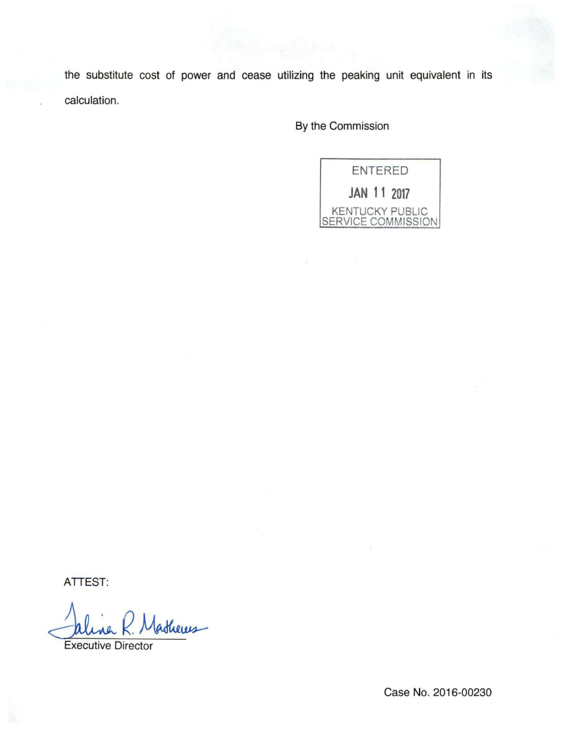the substitute cost of power and cease utilizing the peaking unit equivalent in its calculation.

By the Commission



ATTEST:

theres

Executive Director

Case No. 2016-00230